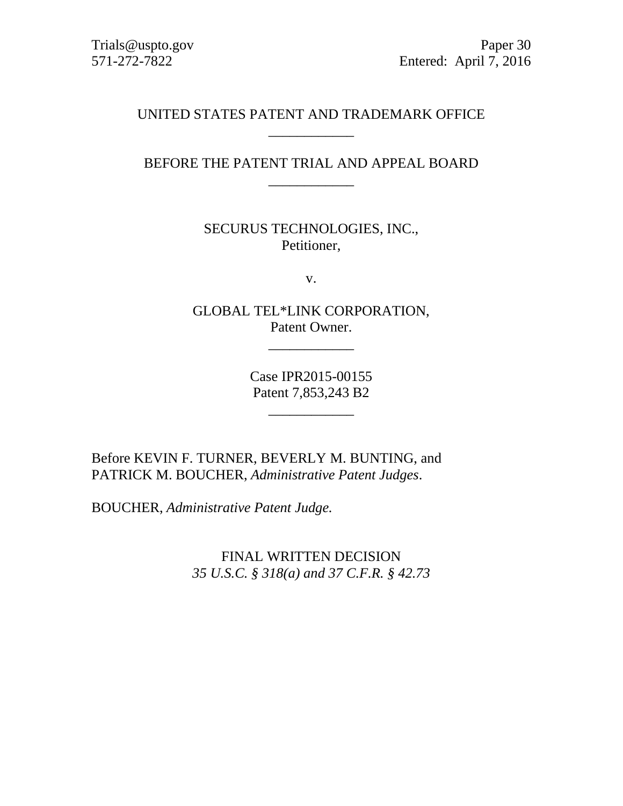Trials@uspto.gov Paper 30 571-272-7822 Entered: April 7, 2016

# UNITED STATES PATENT AND TRADEMARK OFFICE \_\_\_\_\_\_\_\_\_\_\_\_

BEFORE THE PATENT TRIAL AND APPEAL BOARD \_\_\_\_\_\_\_\_\_\_\_\_

> SECURUS TECHNOLOGIES, INC., Petitioner,

> > v.

GLOBAL TEL\*LINK CORPORATION, Patent Owner.

\_\_\_\_\_\_\_\_\_\_\_\_

Case IPR2015-00155 Patent 7,853,243 B2

\_\_\_\_\_\_\_\_\_\_\_\_

Before KEVIN F. TURNER, BEVERLY M. BUNTING, and PATRICK M. BOUCHER, *Administrative Patent Judges*.

BOUCHER, *Administrative Patent Judge.*

FINAL WRITTEN DECISION *35 U.S.C. § 318(a) and 37 C.F.R. § 42.73*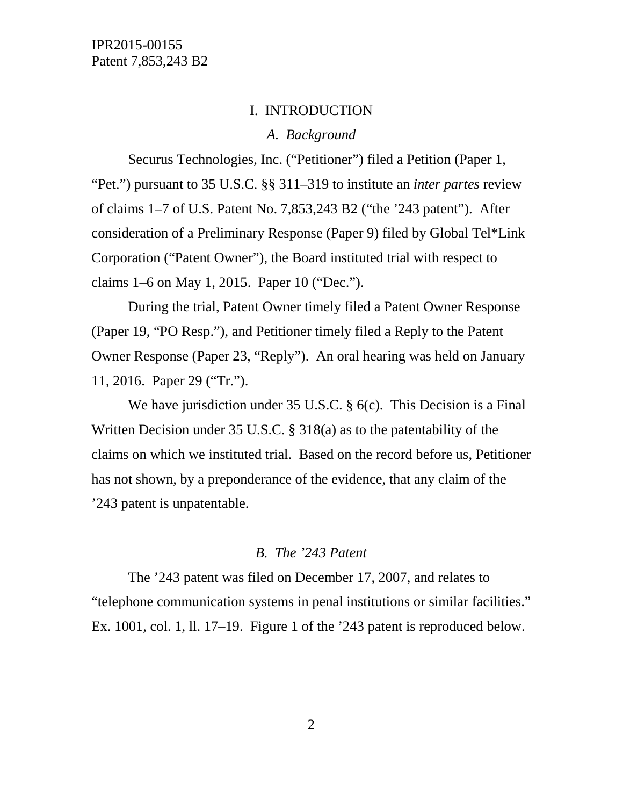#### I. INTRODUCTION

### *A. Background*

Securus Technologies, Inc. ("Petitioner") filed a Petition (Paper 1, "Pet.") pursuant to 35 U.S.C. §§ 311–319 to institute an *inter partes* review of claims 1–7 of U.S. Patent No. 7,853,243 B2 ("the '243 patent"). After consideration of a Preliminary Response (Paper 9) filed by Global Tel\*Link Corporation ("Patent Owner"), the Board instituted trial with respect to claims 1–6 on May 1, 2015. Paper 10 ("Dec.").

During the trial, Patent Owner timely filed a Patent Owner Response (Paper 19, "PO Resp."), and Petitioner timely filed a Reply to the Patent Owner Response (Paper 23, "Reply"). An oral hearing was held on January 11, 2016. Paper 29 ("Tr.").

We have jurisdiction under 35 U.S.C. § 6(c). This Decision is a Final Written Decision under 35 U.S.C. § 318(a) as to the patentability of the claims on which we instituted trial. Based on the record before us, Petitioner has not shown, by a preponderance of the evidence, that any claim of the '243 patent is unpatentable.

#### *B. The '243 Patent*

The '243 patent was filed on December 17, 2007, and relates to "telephone communication systems in penal institutions or similar facilities." Ex. 1001, col. 1, ll. 17–19. Figure 1 of the '243 patent is reproduced below.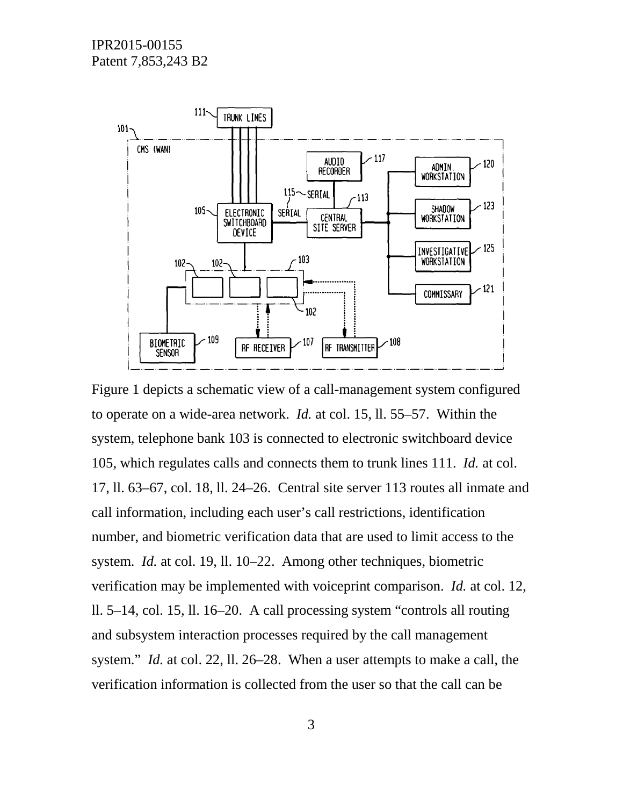

Figure 1 depicts a schematic view of a call-management system configured to operate on a wide-area network. *Id.* at col. 15, ll. 55–57. Within the system, telephone bank 103 is connected to electronic switchboard device 105, which regulates calls and connects them to trunk lines 111. *Id.* at col. 17, ll. 63–67, col. 18, ll. 24–26. Central site server 113 routes all inmate and call information, including each user's call restrictions, identification number, and biometric verification data that are used to limit access to the system. *Id.* at col. 19, ll. 10–22. Among other techniques, biometric verification may be implemented with voiceprint comparison. *Id.* at col. 12, ll. 5–14, col. 15, ll. 16–20. A call processing system "controls all routing and subsystem interaction processes required by the call management system." *Id.* at col. 22, ll. 26–28. When a user attempts to make a call, the verification information is collected from the user so that the call can be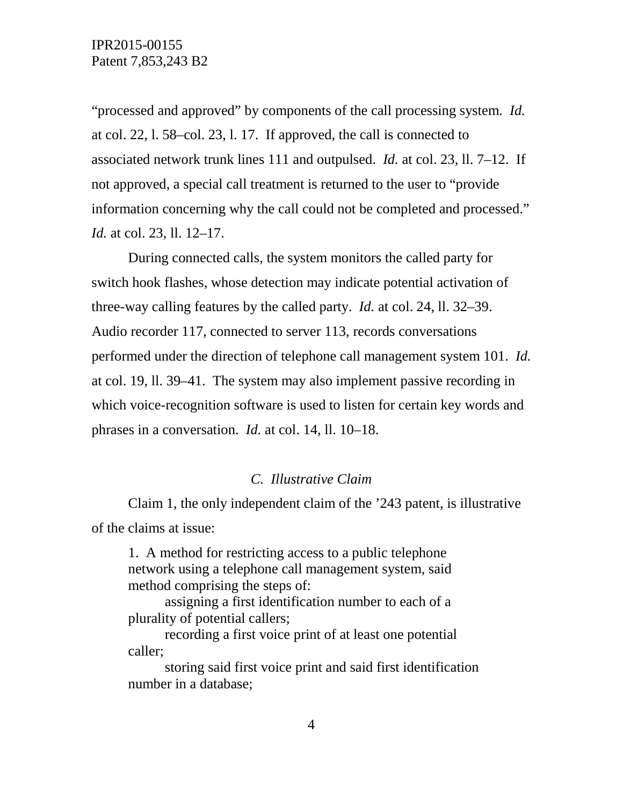"processed and approved" by components of the call processing system. *Id.* at col. 22, l. 58–col. 23, l. 17. If approved, the call is connected to associated network trunk lines 111 and outpulsed. *Id.* at col. 23, ll. 7–12. If not approved, a special call treatment is returned to the user to "provide information concerning why the call could not be completed and processed." *Id.* at col. 23, ll. 12–17.

During connected calls, the system monitors the called party for switch hook flashes, whose detection may indicate potential activation of three-way calling features by the called party. *Id.* at col. 24, ll. 32–39. Audio recorder 117, connected to server 113, records conversations performed under the direction of telephone call management system 101. *Id.* at col. 19, ll. 39–41. The system may also implement passive recording in which voice-recognition software is used to listen for certain key words and phrases in a conversation. *Id.* at col. 14, ll. 10–18.

### *C. Illustrative Claim*

Claim 1, the only independent claim of the '243 patent, is illustrative of the claims at issue:

1. A method for restricting access to a public telephone network using a telephone call management system, said method comprising the steps of:

assigning a first identification number to each of a plurality of potential callers;

recording a first voice print of at least one potential caller;

storing said first voice print and said first identification number in a database;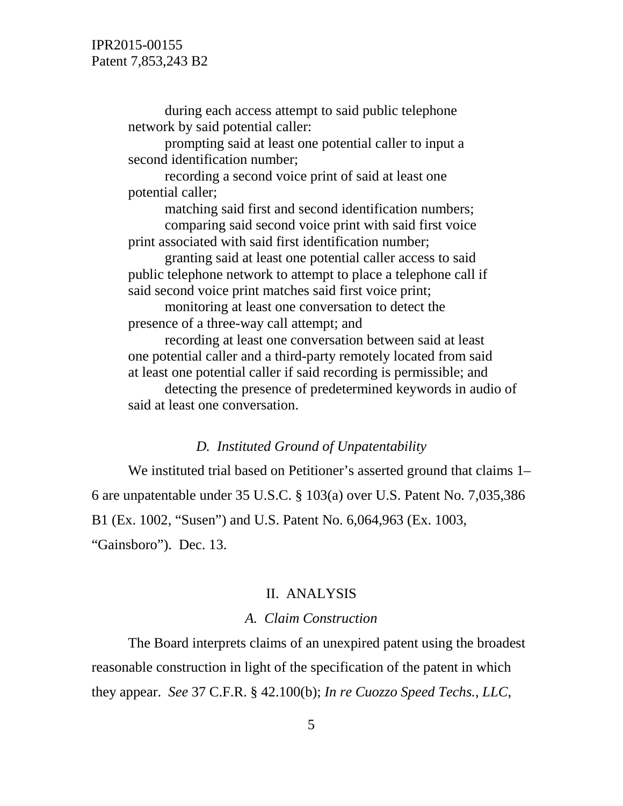during each access attempt to said public telephone network by said potential caller:

prompting said at least one potential caller to input a second identification number;

recording a second voice print of said at least one potential caller;

matching said first and second identification numbers; comparing said second voice print with said first voice print associated with said first identification number;

granting said at least one potential caller access to said public telephone network to attempt to place a telephone call if said second voice print matches said first voice print;

monitoring at least one conversation to detect the presence of a three-way call attempt; and

recording at least one conversation between said at least one potential caller and a third-party remotely located from said at least one potential caller if said recording is permissible; and

detecting the presence of predetermined keywords in audio of said at least one conversation.

### *D. Instituted Ground of Unpatentability*

We instituted trial based on Petitioner's asserted ground that claims 1– 6 are unpatentable under 35 U.S.C. § 103(a) over U.S. Patent No. 7,035,386 B1 (Ex. 1002, "Susen") and U.S. Patent No. 6,064,963 (Ex. 1003, "Gainsboro"). Dec. 13.

### II. ANALYSIS

### *A. Claim Construction*

The Board interprets claims of an unexpired patent using the broadest reasonable construction in light of the specification of the patent in which they appear. *See* 37 C.F.R. § 42.100(b); *In re Cuozzo Speed Techs., LLC*,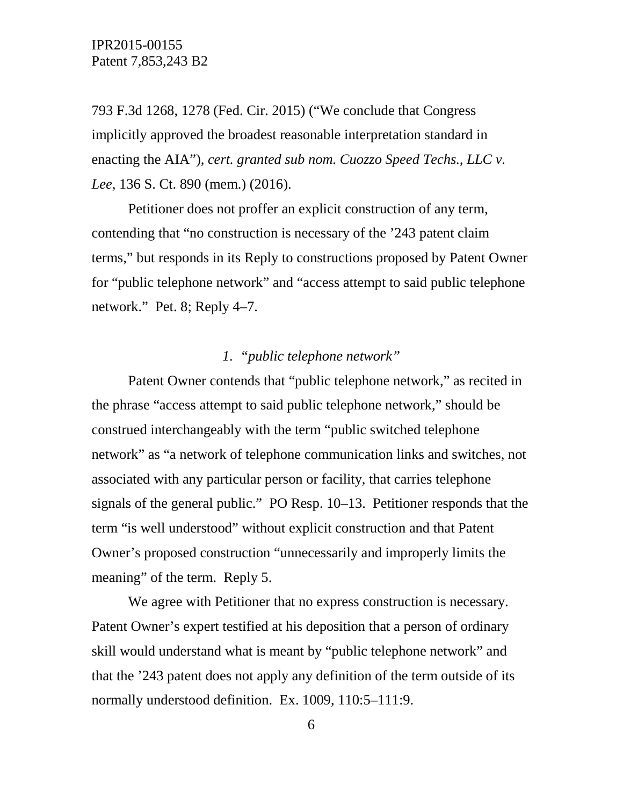793 F.3d 1268, 1278 (Fed. Cir. 2015) ("We conclude that Congress implicitly approved the broadest reasonable interpretation standard in enacting the AIA"), *cert. granted sub nom. Cuozzo Speed Techs., LLC v. Lee*, 136 S. Ct. 890 (mem.) (2016).

Petitioner does not proffer an explicit construction of any term, contending that "no construction is necessary of the '243 patent claim terms," but responds in its Reply to constructions proposed by Patent Owner for "public telephone network" and "access attempt to said public telephone network." Pet. 8; Reply 4–7.

# *1. "public telephone network"*

Patent Owner contends that "public telephone network," as recited in the phrase "access attempt to said public telephone network," should be construed interchangeably with the term "public switched telephone network" as "a network of telephone communication links and switches, not associated with any particular person or facility, that carries telephone signals of the general public." PO Resp. 10–13. Petitioner responds that the term "is well understood" without explicit construction and that Patent Owner's proposed construction "unnecessarily and improperly limits the meaning" of the term. Reply 5.

We agree with Petitioner that no express construction is necessary. Patent Owner's expert testified at his deposition that a person of ordinary skill would understand what is meant by "public telephone network" and that the '243 patent does not apply any definition of the term outside of its normally understood definition. Ex. 1009, 110:5–111:9.

6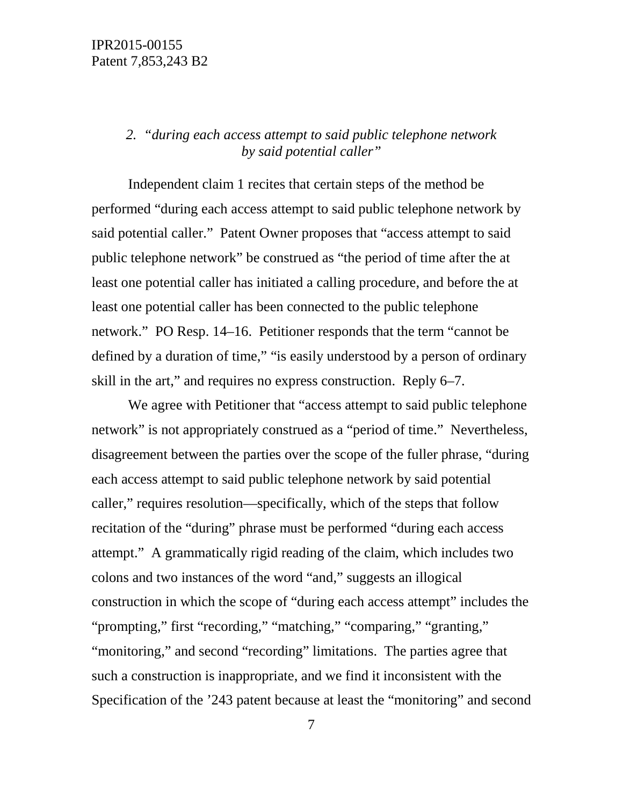# *2. "during each access attempt to said public telephone network by said potential caller"*

Independent claim 1 recites that certain steps of the method be performed "during each access attempt to said public telephone network by said potential caller." Patent Owner proposes that "access attempt to said public telephone network" be construed as "the period of time after the at least one potential caller has initiated a calling procedure, and before the at least one potential caller has been connected to the public telephone network." PO Resp. 14–16. Petitioner responds that the term "cannot be defined by a duration of time," "is easily understood by a person of ordinary skill in the art," and requires no express construction. Reply 6–7.

We agree with Petitioner that "access attempt to said public telephone network" is not appropriately construed as a "period of time." Nevertheless, disagreement between the parties over the scope of the fuller phrase, "during each access attempt to said public telephone network by said potential caller," requires resolution—specifically, which of the steps that follow recitation of the "during" phrase must be performed "during each access attempt." A grammatically rigid reading of the claim, which includes two colons and two instances of the word "and," suggests an illogical construction in which the scope of "during each access attempt" includes the "prompting," first "recording," "matching," "comparing," "granting," "monitoring," and second "recording" limitations. The parties agree that such a construction is inappropriate, and we find it inconsistent with the Specification of the '243 patent because at least the "monitoring" and second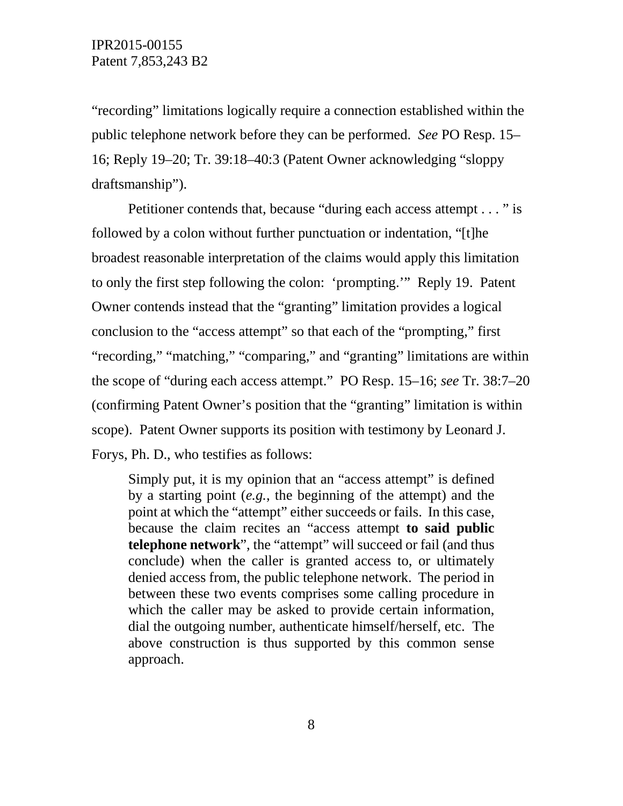"recording" limitations logically require a connection established within the public telephone network before they can be performed. *See* PO Resp. 15– 16; Reply 19–20; Tr. 39:18–40:3 (Patent Owner acknowledging "sloppy draftsmanship").

Petitioner contends that, because "during each access attempt . . . " is followed by a colon without further punctuation or indentation, "[t]he broadest reasonable interpretation of the claims would apply this limitation to only the first step following the colon: 'prompting.'" Reply 19. Patent Owner contends instead that the "granting" limitation provides a logical conclusion to the "access attempt" so that each of the "prompting," first "recording," "matching," "comparing," and "granting" limitations are within the scope of "during each access attempt." PO Resp. 15–16; *see* Tr. 38:7–20 (confirming Patent Owner's position that the "granting" limitation is within scope). Patent Owner supports its position with testimony by Leonard J. Forys, Ph. D., who testifies as follows:

Simply put, it is my opinion that an "access attempt" is defined by a starting point (*e.g.*, the beginning of the attempt) and the point at which the "attempt" either succeeds or fails. In this case, because the claim recites an "access attempt **to said public telephone network**", the "attempt" will succeed or fail (and thus conclude) when the caller is granted access to, or ultimately denied access from, the public telephone network. The period in between these two events comprises some calling procedure in which the caller may be asked to provide certain information, dial the outgoing number, authenticate himself/herself, etc. The above construction is thus supported by this common sense approach.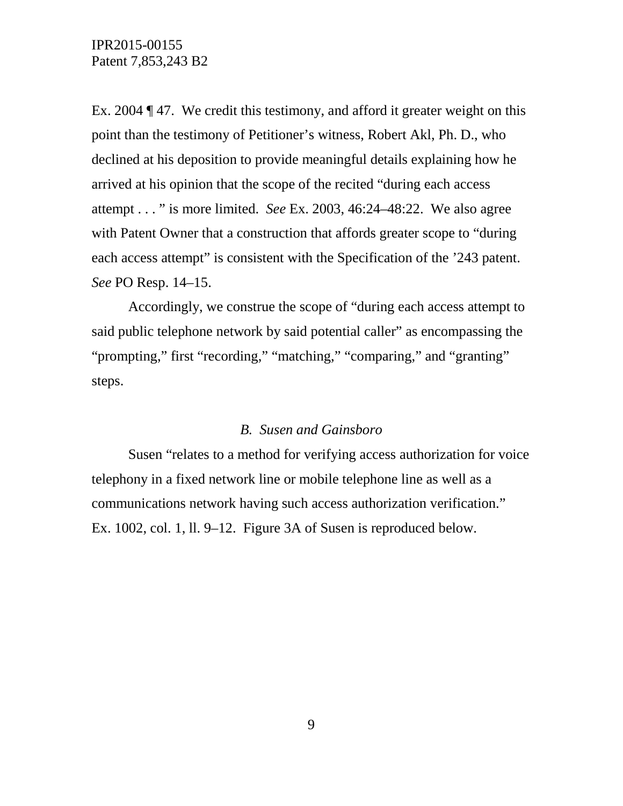Ex. 2004 ¶ 47. We credit this testimony, and afford it greater weight on this point than the testimony of Petitioner's witness, Robert Akl, Ph. D., who declined at his deposition to provide meaningful details explaining how he arrived at his opinion that the scope of the recited "during each access attempt . . . " is more limited. *See* Ex. 2003, 46:24–48:22. We also agree with Patent Owner that a construction that affords greater scope to "during each access attempt" is consistent with the Specification of the '243 patent. *See* PO Resp. 14–15.

Accordingly, we construe the scope of "during each access attempt to said public telephone network by said potential caller" as encompassing the "prompting," first "recording," "matching," "comparing," and "granting" steps.

## *B. Susen and Gainsboro*

Susen "relates to a method for verifying access authorization for voice telephony in a fixed network line or mobile telephone line as well as a communications network having such access authorization verification." Ex. 1002, col. 1, ll. 9–12. Figure 3A of Susen is reproduced below.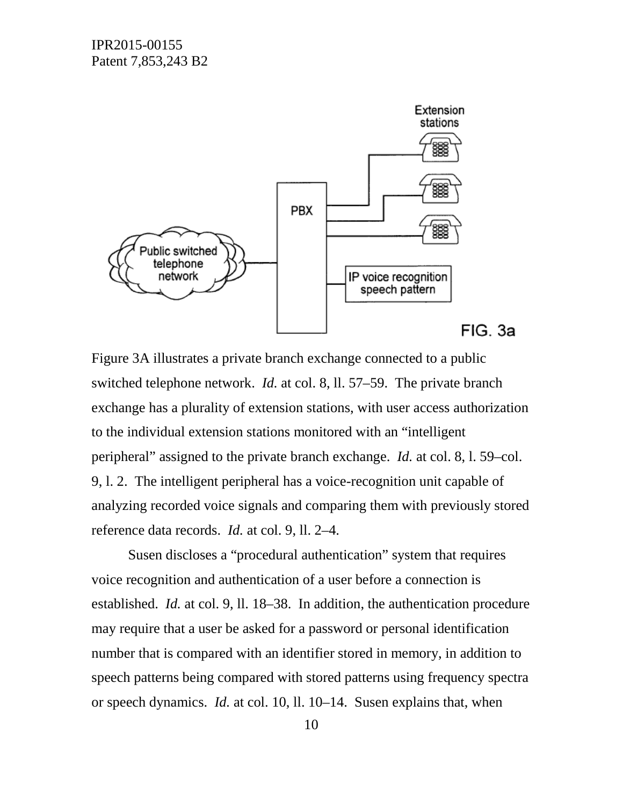

Figure 3A illustrates a private branch exchange connected to a public switched telephone network. *Id.* at col. 8, ll. 57–59. The private branch exchange has a plurality of extension stations, with user access authorization to the individual extension stations monitored with an "intelligent peripheral" assigned to the private branch exchange. *Id.* at col. 8, l. 59–col. 9, l. 2. The intelligent peripheral has a voice-recognition unit capable of analyzing recorded voice signals and comparing them with previously stored reference data records. *Id.* at col. 9, ll. 2–4.

Susen discloses a "procedural authentication" system that requires voice recognition and authentication of a user before a connection is established. *Id.* at col. 9, ll. 18–38. In addition, the authentication procedure may require that a user be asked for a password or personal identification number that is compared with an identifier stored in memory, in addition to speech patterns being compared with stored patterns using frequency spectra or speech dynamics. *Id.* at col. 10, ll. 10–14. Susen explains that, when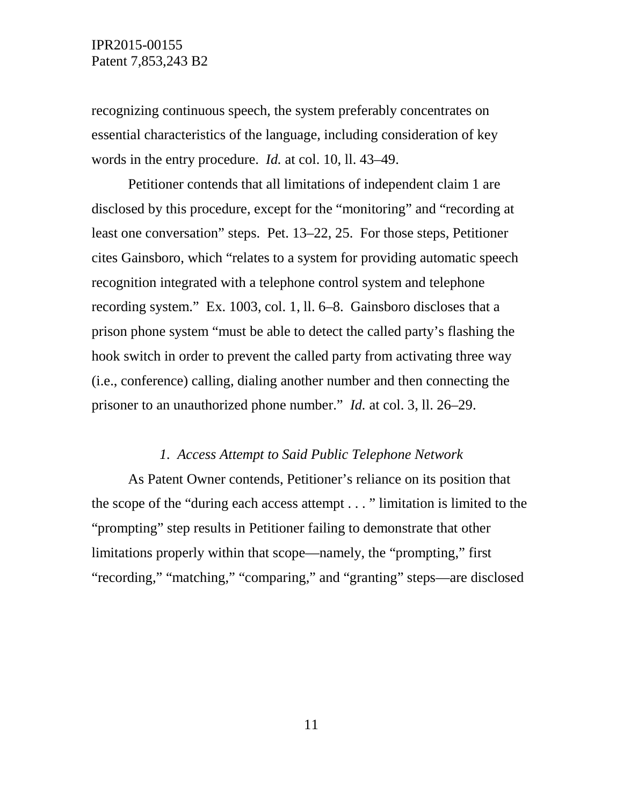recognizing continuous speech, the system preferably concentrates on essential characteristics of the language, including consideration of key words in the entry procedure. *Id.* at col. 10, ll. 43–49.

Petitioner contends that all limitations of independent claim 1 are disclosed by this procedure, except for the "monitoring" and "recording at least one conversation" steps. Pet. 13–22, 25. For those steps, Petitioner cites Gainsboro, which "relates to a system for providing automatic speech recognition integrated with a telephone control system and telephone recording system." Ex. 1003, col. 1, ll. 6–8. Gainsboro discloses that a prison phone system "must be able to detect the called party's flashing the hook switch in order to prevent the called party from activating three way (i.e., conference) calling, dialing another number and then connecting the prisoner to an unauthorized phone number." *Id.* at col. 3, ll. 26–29.

### *1. Access Attempt to Said Public Telephone Network*

As Patent Owner contends, Petitioner's reliance on its position that the scope of the "during each access attempt . . . " limitation is limited to the "prompting" step results in Petitioner failing to demonstrate that other limitations properly within that scope—namely, the "prompting," first "recording," "matching," "comparing," and "granting" steps—are disclosed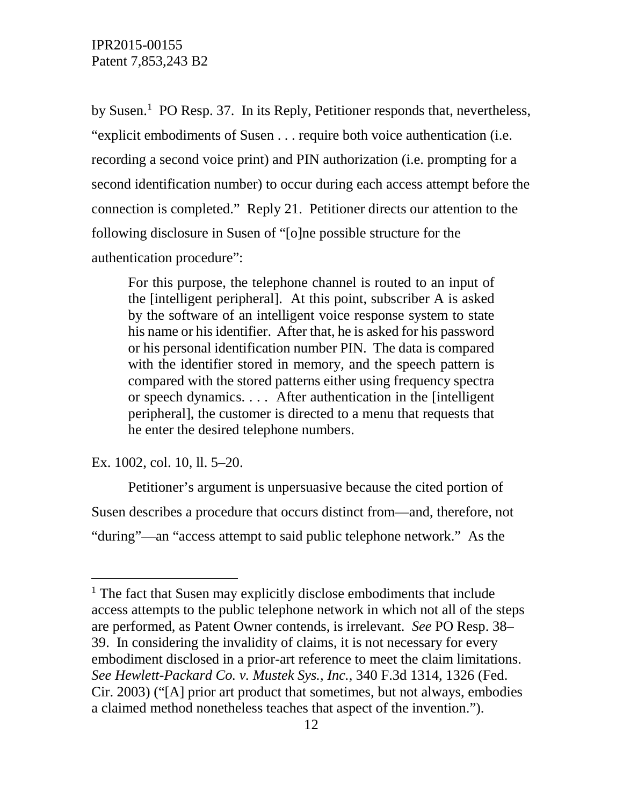by Susen.<sup>[1](#page-11-0)</sup> PO Resp. 37. In its Reply, Petitioner responds that, nevertheless, "explicit embodiments of Susen . . . require both voice authentication (i.e. recording a second voice print) and PIN authorization (i.e. prompting for a second identification number) to occur during each access attempt before the connection is completed." Reply 21. Petitioner directs our attention to the following disclosure in Susen of "[o]ne possible structure for the authentication procedure":

For this purpose, the telephone channel is routed to an input of the [intelligent peripheral]. At this point, subscriber A is asked by the software of an intelligent voice response system to state his name or his identifier. After that, he is asked for his password or his personal identification number PIN. The data is compared with the identifier stored in memory, and the speech pattern is compared with the stored patterns either using frequency spectra or speech dynamics. . . . After authentication in the [intelligent peripheral], the customer is directed to a menu that requests that he enter the desired telephone numbers.

Ex. 1002, col. 10, ll. 5–20.

Petitioner's argument is unpersuasive because the cited portion of Susen describes a procedure that occurs distinct from—and, therefore, not "during"—an "access attempt to said public telephone network." As the

<span id="page-11-0"></span> $<sup>1</sup>$  The fact that Susen may explicitly disclose embodiments that include</sup> access attempts to the public telephone network in which not all of the steps are performed, as Patent Owner contends, is irrelevant. *See* PO Resp. 38– 39. In considering the invalidity of claims, it is not necessary for every embodiment disclosed in a prior-art reference to meet the claim limitations. *See Hewlett-Packard Co. v. Mustek Sys., Inc.*, 340 F.3d 1314, 1326 (Fed. Cir. 2003) ("[A] prior art product that sometimes, but not always, embodies a claimed method nonetheless teaches that aspect of the invention.").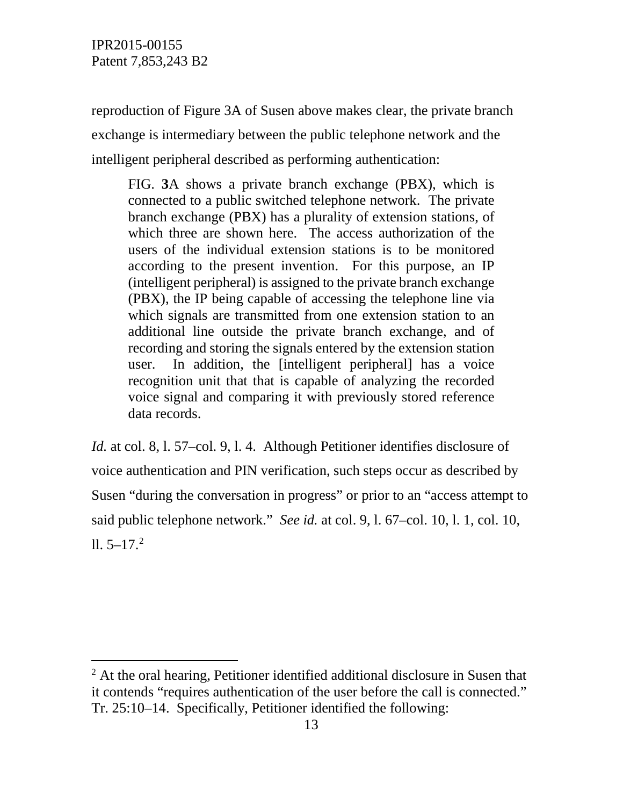IPR2015-00155 Patent 7,853,243 B2

reproduction of Figure 3A of Susen above makes clear, the private branch exchange is intermediary between the public telephone network and the intelligent peripheral described as performing authentication:

FIG. **3**A shows a private branch exchange (PBX), which is connected to a public switched telephone network. The private branch exchange (PBX) has a plurality of extension stations, of which three are shown here. The access authorization of the users of the individual extension stations is to be monitored according to the present invention. For this purpose, an IP (intelligent peripheral) is assigned to the private branch exchange (PBX), the IP being capable of accessing the telephone line via which signals are transmitted from one extension station to an additional line outside the private branch exchange, and of recording and storing the signals entered by the extension station user. In addition, the [intelligent peripheral] has a voice recognition unit that that is capable of analyzing the recorded voice signal and comparing it with previously stored reference data records.

*Id.* at col. 8, l. 57–col. 9, l. 4. Although Petitioner identifies disclosure of voice authentication and PIN verification, such steps occur as described by Susen "during the conversation in progress" or prior to an "access attempt to said public telephone network." *See id.* at col. 9, l. 67–col. 10, l. 1, col. 10,  $11.5 - 17.2$  $11.5 - 17.2$ 

<span id="page-12-0"></span><sup>&</sup>lt;sup>2</sup> At the oral hearing, Petitioner identified additional disclosure in Susen that it contends "requires authentication of the user before the call is connected." Tr. 25:10–14. Specifically, Petitioner identified the following: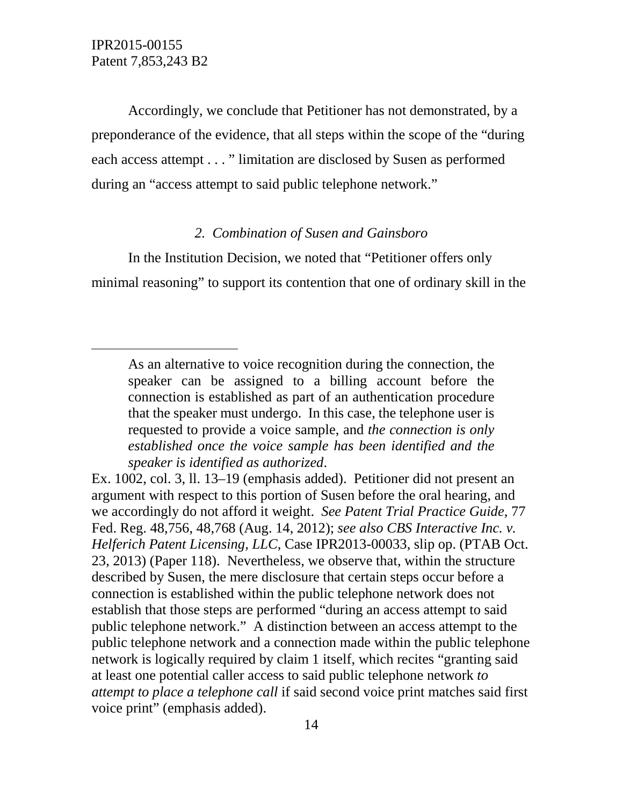$\overline{a}$ 

Accordingly, we conclude that Petitioner has not demonstrated, by a preponderance of the evidence, that all steps within the scope of the "during each access attempt . . . " limitation are disclosed by Susen as performed during an "access attempt to said public telephone network."

# *2. Combination of Susen and Gainsboro*

In the Institution Decision, we noted that "Petitioner offers only minimal reasoning" to support its contention that one of ordinary skill in the

As an alternative to voice recognition during the connection, the speaker can be assigned to a billing account before the connection is established as part of an authentication procedure that the speaker must undergo. In this case, the telephone user is requested to provide a voice sample, and *the connection is only established once the voice sample has been identified and the speaker is identified as authorized*.

Ex. 1002, col. 3, ll. 13–19 (emphasis added). Petitioner did not present an argument with respect to this portion of Susen before the oral hearing, and we accordingly do not afford it weight. *See Patent Trial Practice Guide*, 77 Fed. Reg. 48,756, 48,768 (Aug. 14, 2012); *see also CBS Interactive Inc. v. Helferich Patent Licensing, LLC*, Case IPR2013-00033, slip op. (PTAB Oct. 23, 2013) (Paper 118). Nevertheless, we observe that, within the structure described by Susen, the mere disclosure that certain steps occur before a connection is established within the public telephone network does not establish that those steps are performed "during an access attempt to said public telephone network." A distinction between an access attempt to the public telephone network and a connection made within the public telephone network is logically required by claim 1 itself, which recites "granting said at least one potential caller access to said public telephone network *to attempt to place a telephone call* if said second voice print matches said first voice print" (emphasis added).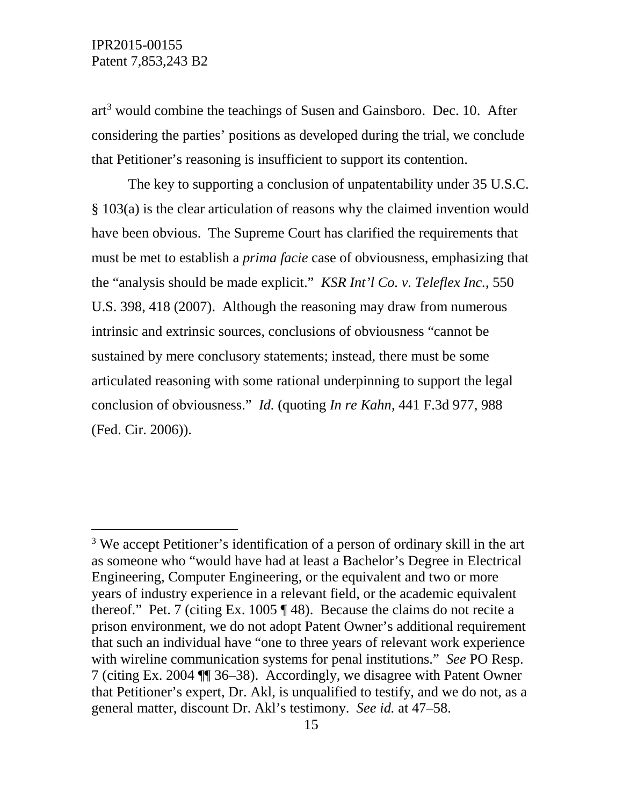art<sup>[3](#page-14-0)</sup> would combine the teachings of Susen and Gainsboro. Dec. 10. After considering the parties' positions as developed during the trial, we conclude that Petitioner's reasoning is insufficient to support its contention.

The key to supporting a conclusion of unpatentability under 35 U.S.C. § 103(a) is the clear articulation of reasons why the claimed invention would have been obvious. The Supreme Court has clarified the requirements that must be met to establish a *prima facie* case of obviousness, emphasizing that the "analysis should be made explicit." *KSR Int'l Co. v. Teleflex Inc.*, 550 U.S. 398, 418 (2007). Although the reasoning may draw from numerous intrinsic and extrinsic sources, conclusions of obviousness "cannot be sustained by mere conclusory statements; instead, there must be some articulated reasoning with some rational underpinning to support the legal conclusion of obviousness." *Id.* (quoting *In re Kahn*, 441 F.3d 977, 988 (Fed. Cir. 2006)).

<span id="page-14-0"></span><sup>&</sup>lt;sup>3</sup> We accept Petitioner's identification of a person of ordinary skill in the art as someone who "would have had at least a Bachelor's Degree in Electrical Engineering, Computer Engineering, or the equivalent and two or more years of industry experience in a relevant field, or the academic equivalent thereof." Pet. 7 (citing Ex. 1005  $\P$  48). Because the claims do not recite a prison environment, we do not adopt Patent Owner's additional requirement that such an individual have "one to three years of relevant work experience with wireline communication systems for penal institutions." *See* PO Resp. 7 (citing Ex. 2004 ¶¶ 36–38). Accordingly, we disagree with Patent Owner that Petitioner's expert, Dr. Akl, is unqualified to testify, and we do not, as a general matter, discount Dr. Akl's testimony. *See id.* at 47–58.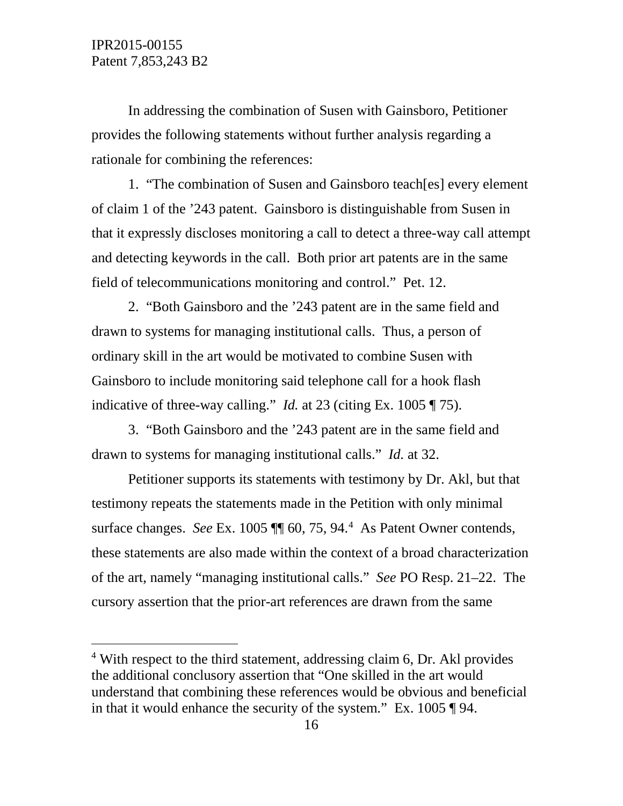In addressing the combination of Susen with Gainsboro, Petitioner provides the following statements without further analysis regarding a rationale for combining the references:

1. "The combination of Susen and Gainsboro teach[es] every element of claim 1 of the '243 patent. Gainsboro is distinguishable from Susen in that it expressly discloses monitoring a call to detect a three-way call attempt and detecting keywords in the call. Both prior art patents are in the same field of telecommunications monitoring and control." Pet. 12.

2. "Both Gainsboro and the '243 patent are in the same field and drawn to systems for managing institutional calls. Thus, a person of ordinary skill in the art would be motivated to combine Susen with Gainsboro to include monitoring said telephone call for a hook flash indicative of three-way calling." *Id.* at 23 (citing Ex. 1005 ¶ 75).

3. "Both Gainsboro and the '243 patent are in the same field and drawn to systems for managing institutional calls." *Id.* at 32.

Petitioner supports its statements with testimony by Dr. Akl, but that testimony repeats the statements made in the Petition with only minimal surface changes. *See* Ex. 1005 ¶¶ 60, 75, 94.[4](#page-15-0) As Patent Owner contends, these statements are also made within the context of a broad characterization of the art, namely "managing institutional calls." *See* PO Resp. 21–22. The cursory assertion that the prior-art references are drawn from the same

<span id="page-15-0"></span> $4$  With respect to the third statement, addressing claim 6, Dr. Akl provides the additional conclusory assertion that "One skilled in the art would understand that combining these references would be obvious and beneficial in that it would enhance the security of the system." Ex. 1005 ¶ 94.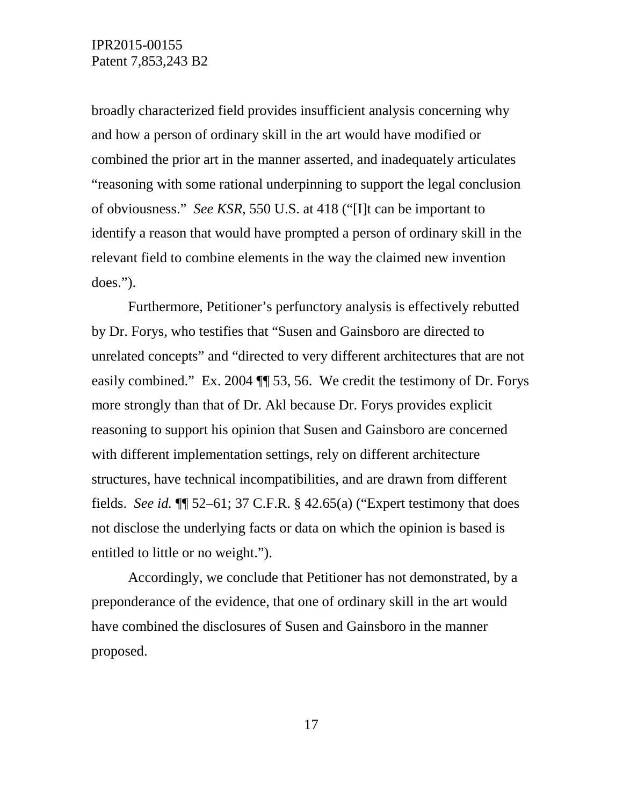broadly characterized field provides insufficient analysis concerning why and how a person of ordinary skill in the art would have modified or combined the prior art in the manner asserted, and inadequately articulates "reasoning with some rational underpinning to support the legal conclusion of obviousness." *See KSR*, 550 U.S. at 418 ("[I]t can be important to identify a reason that would have prompted a person of ordinary skill in the relevant field to combine elements in the way the claimed new invention does.").

Furthermore, Petitioner's perfunctory analysis is effectively rebutted by Dr. Forys, who testifies that "Susen and Gainsboro are directed to unrelated concepts" and "directed to very different architectures that are not easily combined." Ex. 2004 ¶¶ 53, 56. We credit the testimony of Dr. Forys more strongly than that of Dr. Akl because Dr. Forys provides explicit reasoning to support his opinion that Susen and Gainsboro are concerned with different implementation settings, rely on different architecture structures, have technical incompatibilities, and are drawn from different fields. *See id.* ¶¶ 52–61; 37 C.F.R. § 42.65(a) ("Expert testimony that does not disclose the underlying facts or data on which the opinion is based is entitled to little or no weight.").

Accordingly, we conclude that Petitioner has not demonstrated, by a preponderance of the evidence, that one of ordinary skill in the art would have combined the disclosures of Susen and Gainsboro in the manner proposed.

17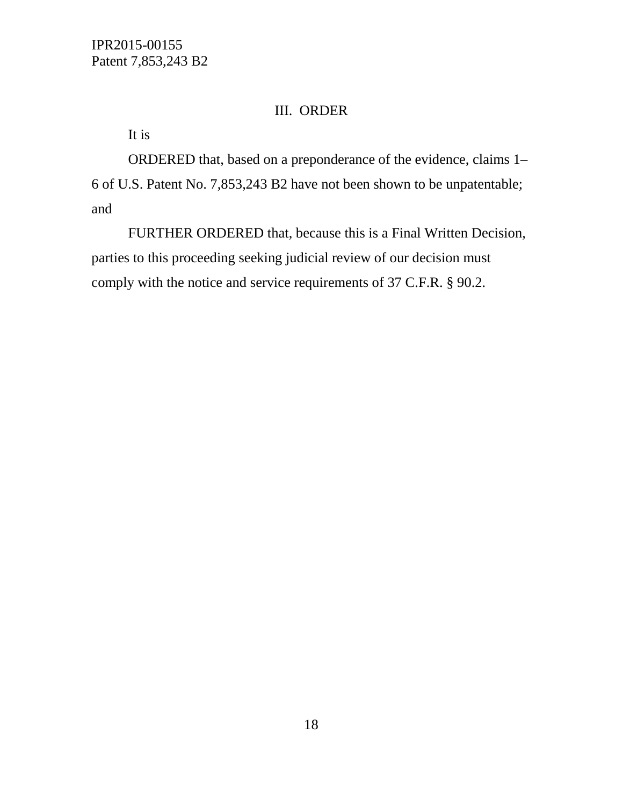# III. ORDER

It is

ORDERED that, based on a preponderance of the evidence, claims 1– 6 of U.S. Patent No. 7,853,243 B2 have not been shown to be unpatentable; and

FURTHER ORDERED that, because this is a Final Written Decision, parties to this proceeding seeking judicial review of our decision must comply with the notice and service requirements of 37 C.F.R. § 90.2.